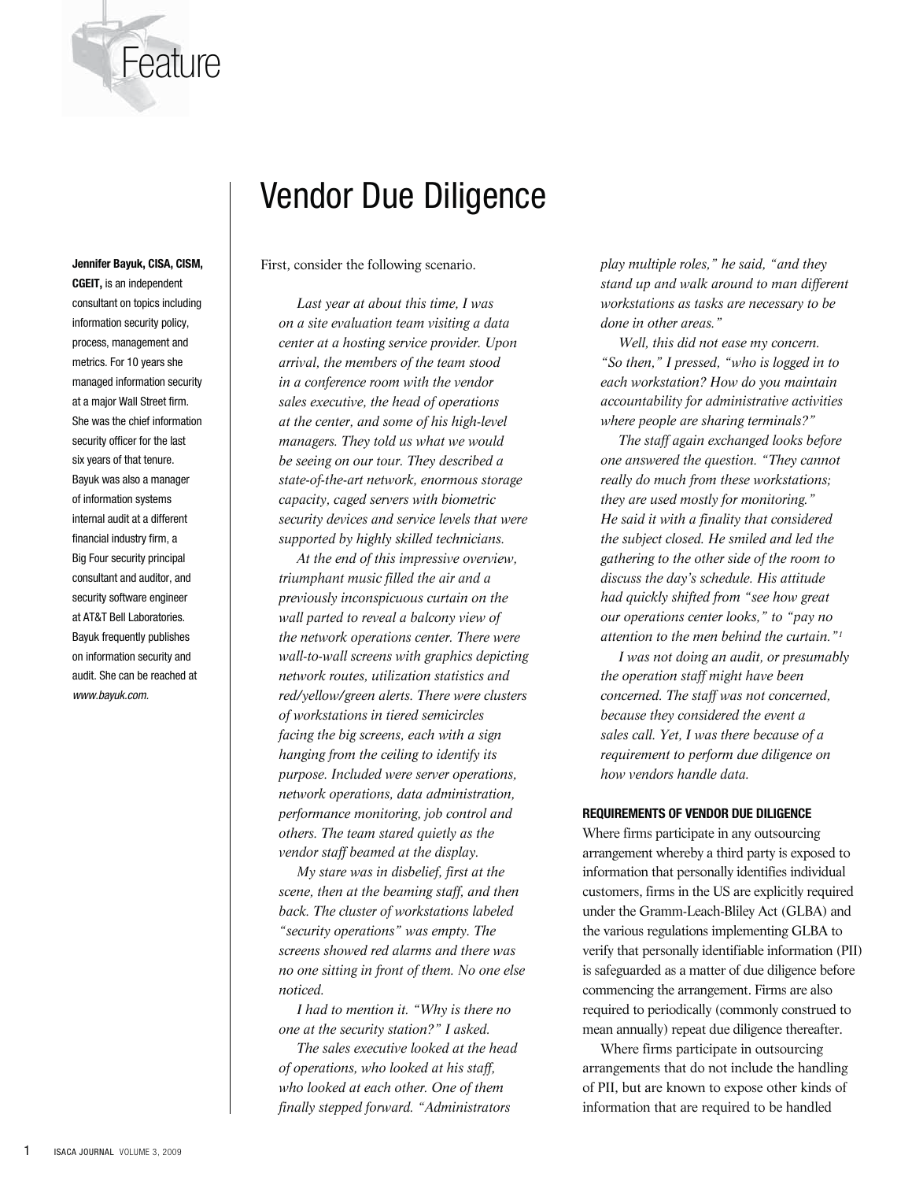

# Vendor Due Diligence

First, consider the following scenario.

*Last year at about this time, I was on a site evaluation team visiting a data center at a hosting service provider. Upon arrival, the members of the team stood in a conference room with the vendor sales executive, the head of operations at the center, and some of his high-level managers. They told us what we would be seeing on our tour. They described a state-of-the-art network, enormous storage capacity, caged servers with biometric security devices and service levels that were supported by highly skilled technicians.*

*At the end of this impressive overview, triumphant music filled the air and a previously inconspicuous curtain on the wall parted to reveal a balcony view of the network operations center. There were wall-to-wall screens with graphics depicting network routes, utilization statistics and red/yellow/green alerts. There were clusters of workstations in tiered semicircles facing the big screens, each with a sign hanging from the ceiling to identify its purpose. Included were server operations, network operations, data administration, performance monitoring, job control and others. The team stared quietly as the vendor staff beamed at the display.* 

*My stare was in disbelief, first at the scene, then at the beaming staff, and then back. The cluster of workstations labeled "security operations" was empty. The screens showed red alarms and there was no one sitting in front of them. No one else noticed.* 

*I had to mention it. "Why is there no one at the security station?" I asked.* 

*The sales executive looked at the head of operations, who looked at his staff, who looked at each other. One of them finally stepped forward. "Administrators* 

*play multiple roles," he said, "and they stand up and walk around to man different workstations as tasks are necessary to be done in other areas."* 

*Well, this did not ease my concern. "So then," I pressed, "who is logged in to each workstation? How do you maintain accountability for administrative activities where people are sharing terminals?"* 

*The staff again exchanged looks before one answered the question. "They cannot really do much from these workstations; they are used mostly for monitoring." He said it with a finality that considered the subject closed. He smiled and led the gathering to the other side of the room to discuss the day's schedule. His attitude had quickly shifted from "see how great our operations center looks," to "pay no attention to the men behind the curtain."1*

*I was not doing an audit, or presumably the operation staff might have been concerned. The staff was not concerned, because they considered the event a sales call. Yet, I was there because of a requirement to perform due diligence on how vendors handle data.* 

#### **REQUIREMENTS OF VENDOR DUE DILIGENCE**

Where firms participate in any outsourcing arrangement whereby a third party is exposed to information that personally identifies individual customers, firms in the US are explicitly required under the Gramm-Leach-Bliley Act (GLBA) and the various regulations implementing GLBA to verify that personally identifiable information (PII) is safeguarded as a matter of due diligence before commencing the arrangement. Firms are also required to periodically (commonly construed to mean annually) repeat due diligence thereafter.

Where firms participate in outsourcing arrangements that do not include the handling of PII, but are known to expose other kinds of information that are required to be handled

**CGEIT,** is an independent consultant on topics including information security policy, process, management and metrics. For 10 years she managed information security at a major Wall Street firm. She was the chief information security officer for the last six years of that tenure. Bayuk was also a manager of information systems internal audit at a different financial industry firm, a Big Four security principal consultant and auditor, and security software engineer at AT&T Bell Laboratories. Bayuk frequently publishes on information security and audit. She can be reached at www.bayuk.com.

**Jennifer Bayuk, CISA, CISM,**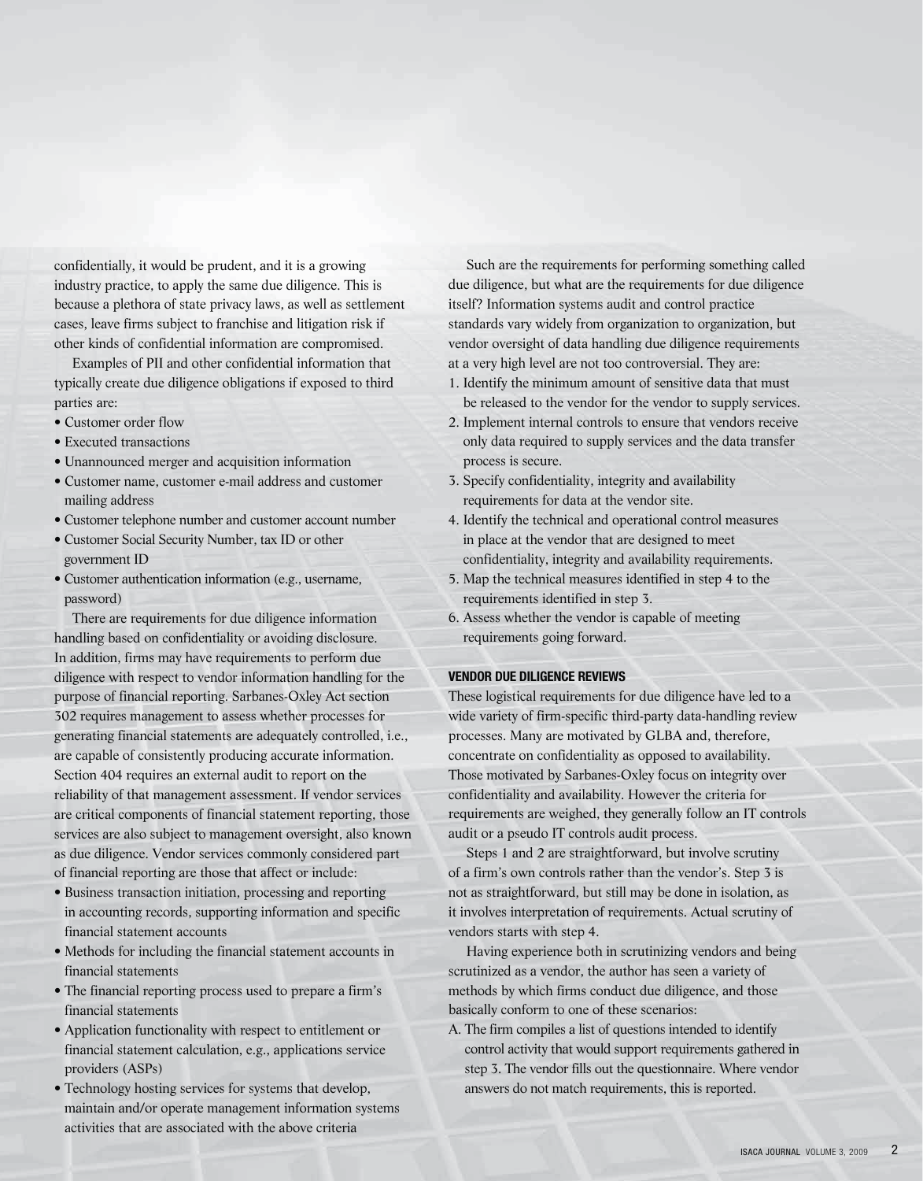confidentially, it would be prudent, and it is a growing industry practice, to apply the same due diligence. This is because a plethora of state privacy laws, as well as settlement cases, leave firms subject to franchise and litigation risk if other kinds of confidential information are compromised.

Examples of PII and other confidential information that typically create due diligence obligations if exposed to third parties are:

- Customer order flow
- Executed transactions
- Unannounced merger and acquisition information
- Customer name, customer e-mail address and customer mailing address
- Customer telephone number and customer account number
- Customer Social Security Number, tax ID or other government ID
- Customer authentication information (e.g., username, password)

There are requirements for due diligence information handling based on confidentiality or avoiding disclosure. In addition, firms may have requirements to perform due diligence with respect to vendor information handling for the purpose of financial reporting. Sarbanes-Oxley Act section 302 requires management to assess whether processes for generating financial statements are adequately controlled, i.e., are capable of consistently producing accurate information. Section 404 requires an external audit to report on the reliability of that management assessment. If vendor services are critical components of financial statement reporting, those services are also subject to management oversight, also known as due diligence. Vendor services commonly considered part of financial reporting are those that affect or include:

- Business transaction initiation, processing and reporting in accounting records, supporting information and specific financial statement accounts
- Methods for including the financial statement accounts in financial statements
- The financial reporting process used to prepare a firm's financial statements
- Application functionality with respect to entitlement or financial statement calculation, e.g., applications service providers (ASPs)
- Technology hosting services for systems that develop, maintain and/or operate management information systems activities that are associated with the above criteria

Such are the requirements for performing something called due diligence, but what are the requirements for due diligence itself? Information systems audit and control practice standards vary widely from organization to organization, but vendor oversight of data handling due diligence requirements at a very high level are not too controversial. They are:

- 1. Identify the minimum amount of sensitive data that must be released to the vendor for the vendor to supply services.
- 2. Implement internal controls to ensure that vendors receive only data required to supply services and the data transfer process is secure.
- 3. Specify confidentiality, integrity and availability requirements for data at the vendor site.
- 4. Identify the technical and operational control measures in place at the vendor that are designed to meet confidentiality, integrity and availability requirements.
- 5. Map the technical measures identified in step 4 to the requirements identified in step 3.
- 6. Assess whether the vendor is capable of meeting requirements going forward.

#### **VENDOR DUE DILIGENCE REVIEWS**

These logistical requirements for due diligence have led to a wide variety of firm-specific third-party data-handling review processes. Many are motivated by GLBA and, therefore, concentrate on confidentiality as opposed to availability. Those motivated by Sarbanes-Oxley focus on integrity over confidentiality and availability. However the criteria for requirements are weighed, they generally follow an IT controls audit or a pseudo IT controls audit process.

Steps 1 and 2 are straightforward, but involve scrutiny of a firm's own controls rather than the vendor's. Step 3 is not as straightforward, but still may be done in isolation, as it involves interpretation of requirements. Actual scrutiny of vendors starts with step 4.

Having experience both in scrutinizing vendors and being scrutinized as a vendor, the author has seen a variety of methods by which firms conduct due diligence, and those basically conform to one of these scenarios:

A. The firm compiles a list of questions intended to identify control activity that would support requirements gathered in step 3. The vendor fills out the questionnaire. Where vendor answers do not match requirements, this is reported.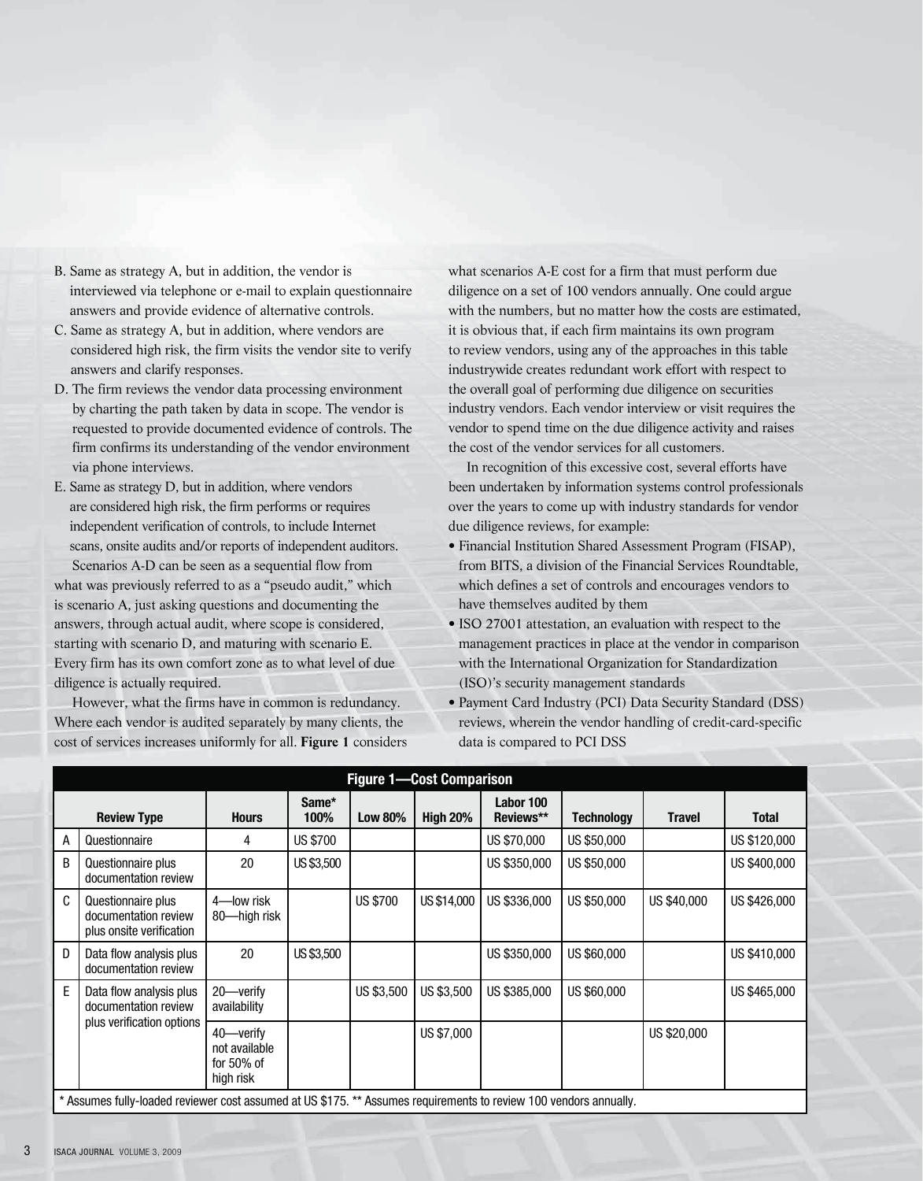- B. Same as strategy A, but in addition, the vendor is interviewed via telephone or e-mail to explain questionnaire answers and provide evidence of alternative controls.
- C. Same as strategy A, but in addition, where vendors are considered high risk, the firm visits the vendor site to verify answers and clarify responses.
- D. The firm reviews the vendor data processing environment by charting the path taken by data in scope. The vendor is requested to provide documented evidence of controls. The firm confirms its understanding of the vendor environment via phone interviews.
- E. Same as strategy D, but in addition, where vendors are considered high risk, the firm performs or requires independent verification of controls, to include Internet scans, onsite audits and/or reports of independent auditors. Scenarios A-D can be seen as a sequential flow from

what was previously referred to as a "pseudo audit," which is scenario A, just asking questions and documenting the answers, through actual audit, where scope is considered, starting with scenario D, and maturing with scenario E. Every firm has its own comfort zone as to what level of due diligence is actually required.

However, what the firms have in common is redundancy. Where each vendor is audited separately by many clients, the cost of services increases uniformly for all. **Figure 1** considers what scenarios A-E cost for a firm that must perform due diligence on a set of 100 vendors annually. One could argue with the numbers, but no matter how the costs are estimated, it is obvious that, if each firm maintains its own program to review vendors, using any of the approaches in this table industrywide creates redundant work effort with respect to the overall goal of performing due diligence on securities industry vendors. Each vendor interview or visit requires the vendor to spend time on the due diligence activity and raises the cost of the vendor services for all customers.

In recognition of this excessive cost, several efforts have been undertaken by information systems control professionals over the years to come up with industry standards for vendor due diligence reviews, for example:

- Financial Institution Shared Assessment Program (FISAP), from BITS, a division of the Financial Services Roundtable, which defines a set of controls and encourages vendors to have themselves audited by them
- ISO 27001 attestation, an evaluation with respect to the management practices in place at the vendor in comparison with the International Organization for Standardization (ISO)'s security management standards
- Payment Card Industry (PCI) Data Security Standard (DSS) reviews, wherein the vendor handling of credit-card-specific data is compared to PCI DSS

| <b>Figure 1-Cost Comparison</b> |                                                                                                                   |                                                          |                 |                 |                 |                        |                   |               |              |
|---------------------------------|-------------------------------------------------------------------------------------------------------------------|----------------------------------------------------------|-----------------|-----------------|-----------------|------------------------|-------------------|---------------|--------------|
|                                 | <b>Review Type</b>                                                                                                | <b>Hours</b>                                             | Same*<br>100%   | <b>Low 80%</b>  | <b>High 20%</b> | Labor 100<br>Reviews** | <b>Technology</b> | <b>Travel</b> | <b>Total</b> |
| A                               | Questionnaire                                                                                                     | 4                                                        | <b>US \$700</b> |                 |                 | US \$70,000            | US \$50,000       |               | US \$120,000 |
| B                               | Questionnaire plus<br>documentation review                                                                        | 20                                                       | US \$3,500      |                 |                 | US \$350,000           | US \$50,000       |               | US \$400,000 |
| C                               | Questionnaire plus<br>documentation review<br>plus onsite verification                                            | 4-low risk<br>80-high risk                               |                 | <b>US \$700</b> | US \$14,000     | US \$336,000           | US \$50,000       | US \$40,000   | US \$426,000 |
| D                               | Data flow analysis plus<br>documentation review                                                                   | 20                                                       | US \$3,500      |                 |                 | US \$350,000           | US \$60,000       |               | US \$410,000 |
| E                               | Data flow analysis plus<br>documentation review<br>plus verification options                                      | 20-verify<br>availability                                |                 | US \$3,500      | US \$3,500      | US \$385,000           | US \$60,000       |               | US \$465,000 |
|                                 |                                                                                                                   | 40-verify<br>not available<br>for $50\%$ of<br>high risk |                 |                 | US \$7,000      |                        |                   | US \$20,000   |              |
|                                 | * Assumes fully-loaded reviewer cost assumed at US \$175. ** Assumes requirements to review 100 vendors annually. |                                                          |                 |                 |                 |                        |                   |               |              |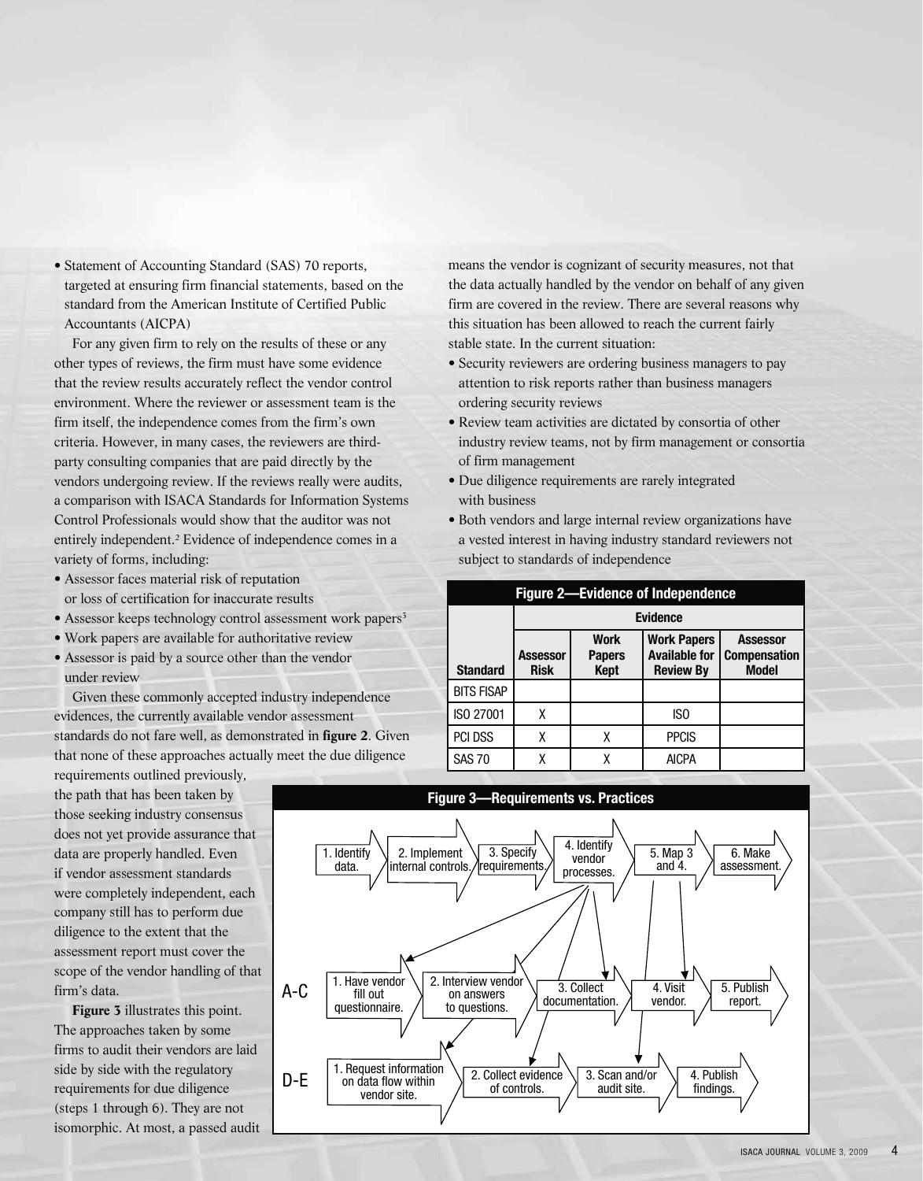• Statement of Accounting Standard (SAS) 70 reports, targeted at ensuring firm financial statements, based on the standard from the American Institute of Certified Public Accountants (AICPA)

For any given firm to rely on the results of these or any other types of reviews, the firm must have some evidence that the review results accurately reflect the vendor control environment. Where the reviewer or assessment team is the firm itself, the independence comes from the firm's own criteria. However, in many cases, the reviewers are thirdparty consulting companies that are paid directly by the vendors undergoing review. If the reviews really were audits, a comparison with ISACA Standards for Information Systems Control Professionals would show that the auditor was not entirely independent.<sup>2</sup> Evidence of independence comes in a variety of forms, including:

- Assessor faces material risk of reputation or loss of certification for inaccurate results
- Assessor keeps technology control assessment work papers<sup>3</sup>
- Work papers are available for authoritative review
- Assessor is paid by a source other than the vendor under review

Given these commonly accepted industry independence evidences, the currently available vendor assessment standards do not fare well, as demonstrated in **figure 2**. Given that none of these approaches actually meet the due diligence

requirements outlined previously, the path that has been taken by those seeking industry consensus does not yet provide assurance that data are properly handled. Even if vendor assessment standards were completely independent, each company still has to perform due diligence to the extent that the assessment report must cover the scope of the vendor handling of that firm's data.

**Figure 3** illustrates this point. The approaches taken by some firms to audit their vendors are laid side by side with the regulatory requirements for due diligence (steps 1 through 6). They are not isomorphic. At most, a passed audit means the vendor is cognizant of security measures, not that the data actually handled by the vendor on behalf of any given firm are covered in the review. There are several reasons why this situation has been allowed to reach the current fairly stable state. In the current situation:

- Security reviewers are ordering business managers to pay attention to risk reports rather than business managers ordering security reviews
- Review team activities are dictated by consortia of other industry review teams, not by firm management or consortia of firm management
- Due diligence requirements are rarely integrated with business
- Both vendors and large internal review organizations have a vested interest in having industry standard reviewers not subject to standards of independence

| <b>Figure 2-Evidence of Independence</b> |                         |                                             |                                                                |                                                        |  |  |  |  |  |
|------------------------------------------|-------------------------|---------------------------------------------|----------------------------------------------------------------|--------------------------------------------------------|--|--|--|--|--|
|                                          | <b>Evidence</b>         |                                             |                                                                |                                                        |  |  |  |  |  |
| <b>Standard</b>                          | Assessor<br><b>Risk</b> | <b>Work</b><br><b>Papers</b><br><b>Kept</b> | <b>Work Papers</b><br><b>Available for</b><br><b>Review By</b> | <b>Assessor</b><br><b>Compensation</b><br><b>Model</b> |  |  |  |  |  |
| <b>BITS FISAP</b>                        |                         |                                             |                                                                |                                                        |  |  |  |  |  |
| ISO 27001                                | χ                       |                                             | ISO                                                            |                                                        |  |  |  |  |  |
| PCI DSS                                  | χ                       | χ                                           | <b>PPCIS</b>                                                   |                                                        |  |  |  |  |  |
| <b>SAS 70</b>                            | χ                       |                                             | <b>AICPA</b>                                                   |                                                        |  |  |  |  |  |